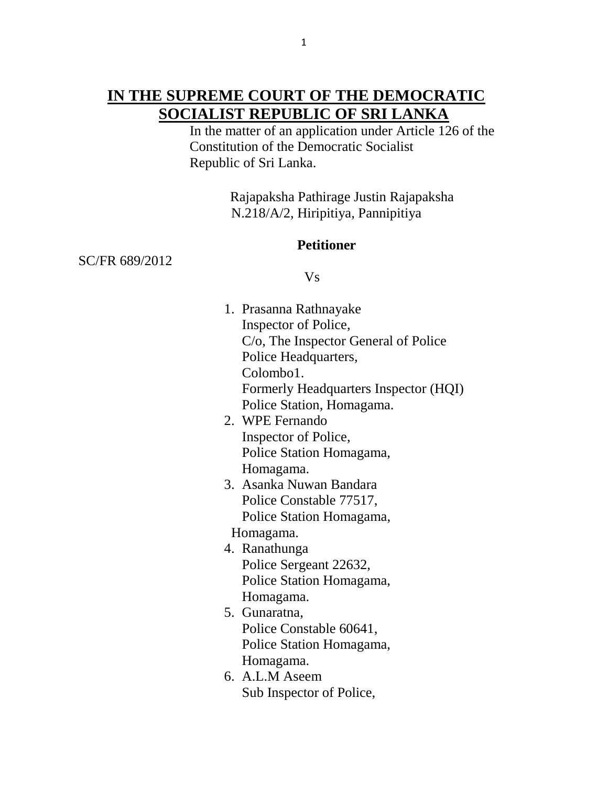## **IN THE SUPREME COURT OF THE DEMOCRATIC SOCIALIST REPUBLIC OF SRI LANKA**

 In the matter of an application under Article 126 of the Constitution of the Democratic Socialist Republic of Sri Lanka.

> Rajapaksha Pathirage Justin Rajapaksha N.218/A/2, Hiripitiya, Pannipitiya

### **Petitioner**

SC/FR 689/2012

#### Vs

| 1. Prasanna Rathnayake                |
|---------------------------------------|
| Inspector of Police,                  |
| C/o, The Inspector General of Police  |
| Police Headquarters,                  |
| Colombo1.                             |
| Formerly Headquarters Inspector (HQI) |
| Police Station, Homagama.             |
| 2. WPE Fernando                       |
| Inspector of Police,                  |
| Police Station Homagama,              |
| Homagama.                             |
| 3. Asanka Nuwan Bandara               |
| Police Constable 77517,               |
| Police Station Homagama,              |
| Homagama.                             |
| 4. Ranathunga                         |
| Police Sergeant 22632,                |
| Police Station Homagama,              |
| Homagama.                             |
| 5. Gunaratna,                         |
| Police Constable 60641,               |
| Police Station Homagama,              |
| Homagama.                             |
| 6. A.L.M Aseem                        |
| Sub Inspector of Police,              |
|                                       |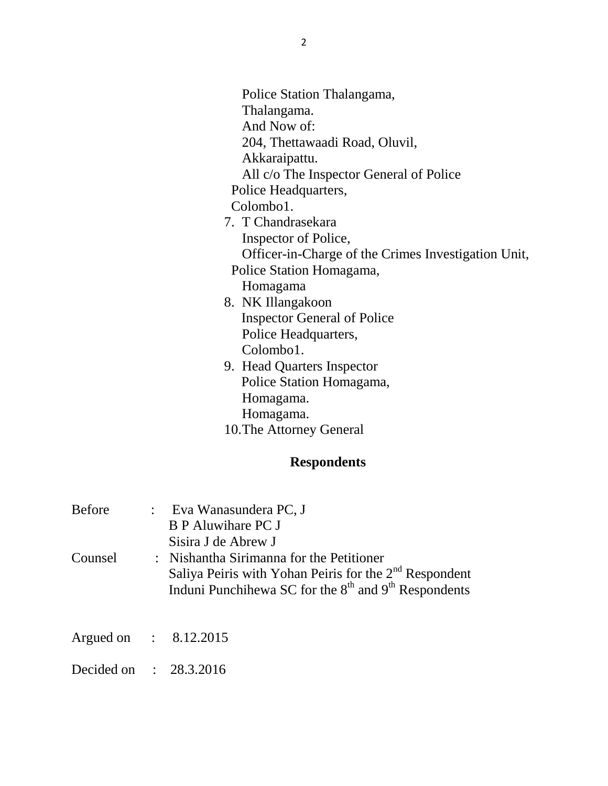| Police Station Thalangama,                          |
|-----------------------------------------------------|
| Thalangama.                                         |
| And Now of:                                         |
| 204, Thettawaadi Road, Oluvil,                      |
| Akkaraipattu.                                       |
| All c/o The Inspector General of Police             |
| Police Headquarters,                                |
| Colombo1.                                           |
| 7. T Chandrasekara                                  |
| Inspector of Police,                                |
| Officer-in-Charge of the Crimes Investigation Unit, |
| Police Station Homagama,                            |
| Homagama                                            |
| 8. NK Illangakoon                                   |
| <b>Inspector General of Police</b>                  |
| Police Headquarters,                                |
| Colombo1.                                           |
| 9. Head Quarters Inspector                          |
| Police Station Homagama,                            |
| Homagama.                                           |
| Homagama.                                           |
| 10. The Attorney General                            |

# **Respondents**

| <b>Before</b><br>Counsel          | : Eva Wanasundera PC, J<br><b>B</b> P Aluwihare PC J<br>Sisira J de Abrew J<br>: Nishantha Sirimanna for the Petitioner<br>Saliya Peiris with Yohan Peiris for the 2 <sup>nd</sup> Respondent<br>Induni Punchihewa SC for the $8th$ and $9th$ Respondents |
|-----------------------------------|-----------------------------------------------------------------------------------------------------------------------------------------------------------------------------------------------------------------------------------------------------------|
| Argued on : $8.12.2015$           |                                                                                                                                                                                                                                                           |
| Decided on $\therefore$ 28.3.2016 |                                                                                                                                                                                                                                                           |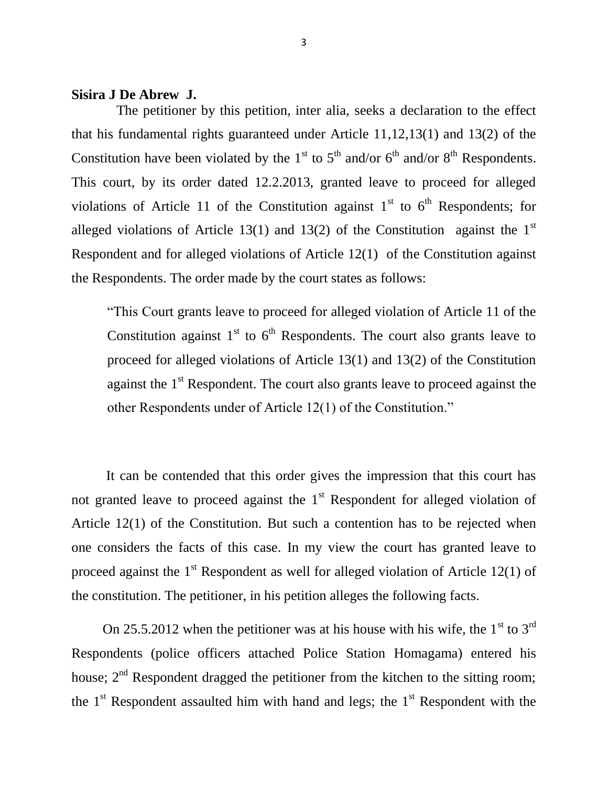#### **Sisira J De Abrew J.**

The petitioner by this petition, inter alia, seeks a declaration to the effect that his fundamental rights guaranteed under Article 11,12,13(1) and 13(2) of the Constitution have been violated by the  $1<sup>st</sup>$  to  $5<sup>th</sup>$  and/or  $6<sup>th</sup>$  and/or  $8<sup>th</sup>$  Respondents. This court, by its order dated 12.2.2013, granted leave to proceed for alleged violations of Article 11 of the Constitution against  $1<sup>st</sup>$  to  $6<sup>th</sup>$  Respondents; for alleged violations of Article 13(1) and 13(2) of the Constitution against the  $1<sup>st</sup>$ Respondent and for alleged violations of Article 12(1) of the Constitution against the Respondents. The order made by the court states as follows:

"This Court grants leave to proceed for alleged violation of Article 11 of the Constitution against  $1<sup>st</sup>$  to  $6<sup>th</sup>$  Respondents. The court also grants leave to proceed for alleged violations of Article 13(1) and 13(2) of the Constitution against the  $1<sup>st</sup>$  Respondent. The court also grants leave to proceed against the other Respondents under of Article 12(1) of the Constitution."

 It can be contended that this order gives the impression that this court has not granted leave to proceed against the  $1<sup>st</sup>$  Respondent for alleged violation of Article 12(1) of the Constitution. But such a contention has to be rejected when one considers the facts of this case. In my view the court has granted leave to proceed against the  $1<sup>st</sup>$  Respondent as well for alleged violation of Article 12(1) of the constitution. The petitioner, in his petition alleges the following facts.

On 25.5.2012 when the petitioner was at his house with his wife, the  $1<sup>st</sup>$  to  $3<sup>rd</sup>$ Respondents (police officers attached Police Station Homagama) entered his house;  $2<sup>nd</sup>$  Respondent dragged the petitioner from the kitchen to the sitting room; the  $1<sup>st</sup>$  Respondent assaulted him with hand and legs; the  $1<sup>st</sup>$  Respondent with the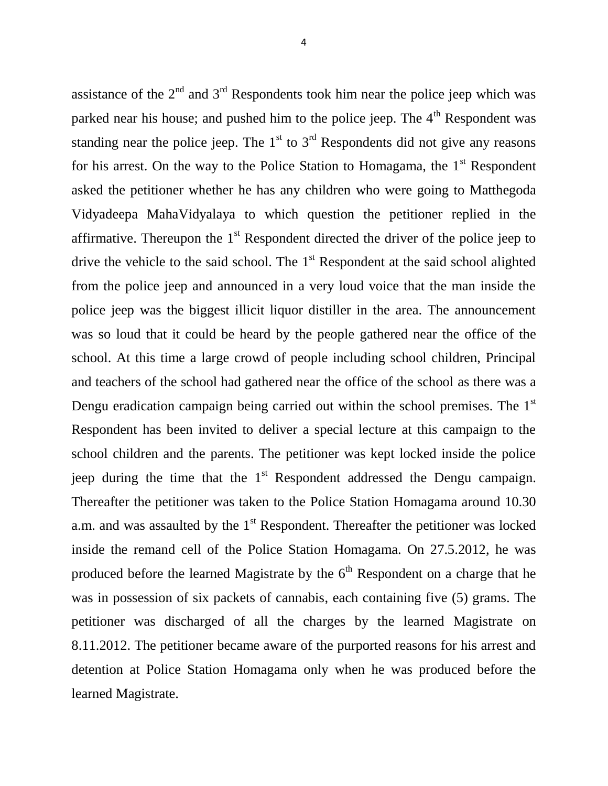assistance of the  $2<sup>nd</sup>$  and  $3<sup>rd</sup>$  Respondents took him near the police jeep which was parked near his house; and pushed him to the police jeep. The  $4<sup>th</sup>$  Respondent was standing near the police jeep. The  $1<sup>st</sup>$  to  $3<sup>rd</sup>$  Respondents did not give any reasons for his arrest. On the way to the Police Station to Homagama, the  $1<sup>st</sup>$  Respondent asked the petitioner whether he has any children who were going to Matthegoda Vidyadeepa MahaVidyalaya to which question the petitioner replied in the affirmative. Thereupon the  $1<sup>st</sup>$  Respondent directed the driver of the police jeep to drive the vehicle to the said school. The  $1<sup>st</sup>$  Respondent at the said school alighted from the police jeep and announced in a very loud voice that the man inside the police jeep was the biggest illicit liquor distiller in the area. The announcement was so loud that it could be heard by the people gathered near the office of the school. At this time a large crowd of people including school children, Principal and teachers of the school had gathered near the office of the school as there was a Dengu eradication campaign being carried out within the school premises. The 1<sup>st</sup> Respondent has been invited to deliver a special lecture at this campaign to the school children and the parents. The petitioner was kept locked inside the police jeep during the time that the  $1<sup>st</sup>$  Respondent addressed the Dengu campaign. Thereafter the petitioner was taken to the Police Station Homagama around 10.30 a.m. and was assaulted by the  $1<sup>st</sup>$  Respondent. Thereafter the petitioner was locked inside the remand cell of the Police Station Homagama. On 27.5.2012, he was produced before the learned Magistrate by the  $6<sup>th</sup>$  Respondent on a charge that he was in possession of six packets of cannabis, each containing five (5) grams. The petitioner was discharged of all the charges by the learned Magistrate on 8.11.2012. The petitioner became aware of the purported reasons for his arrest and detention at Police Station Homagama only when he was produced before the learned Magistrate.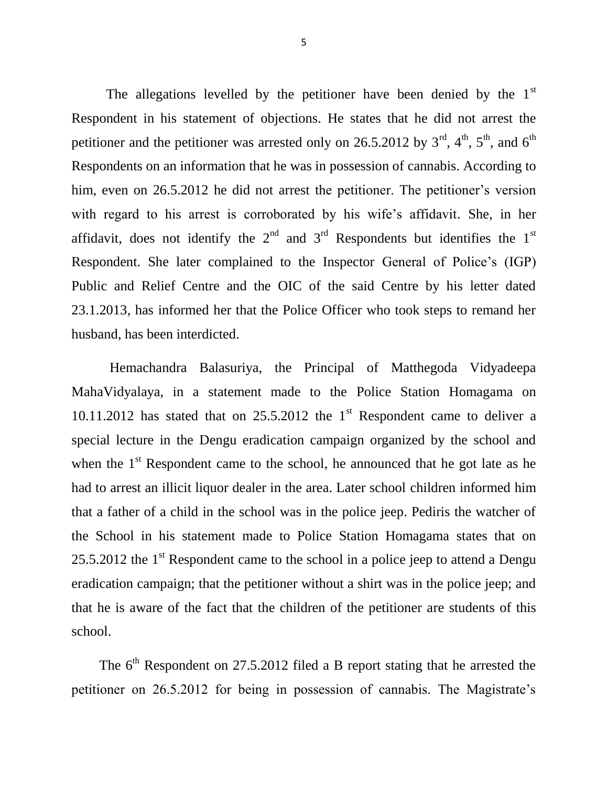The allegations levelled by the petitioner have been denied by the  $1<sup>st</sup>$ Respondent in his statement of objections. He states that he did not arrest the petitioner and the petitioner was arrested only on 26.5.2012 by  $3<sup>rd</sup>$ ,  $4<sup>th</sup>$ ,  $5<sup>th</sup>$ , and  $6<sup>th</sup>$ Respondents on an information that he was in possession of cannabis. According to him, even on 26.5.2012 he did not arrest the petitioner. The petitioner's version with regard to his arrest is corroborated by his wife's affidavit. She, in her affidavit, does not identify the  $2<sup>nd</sup>$  and  $3<sup>rd</sup>$  Respondents but identifies the  $1<sup>st</sup>$ Respondent. She later complained to the Inspector General of Police"s (IGP) Public and Relief Centre and the OIC of the said Centre by his letter dated 23.1.2013, has informed her that the Police Officer who took steps to remand her husband, has been interdicted.

 Hemachandra Balasuriya, the Principal of Matthegoda Vidyadeepa MahaVidyalaya, in a statement made to the Police Station Homagama on 10.11.2012 has stated that on  $25.5.2012$  the 1<sup>st</sup> Respondent came to deliver a special lecture in the Dengu eradication campaign organized by the school and when the  $1<sup>st</sup>$  Respondent came to the school, he announced that he got late as he had to arrest an illicit liquor dealer in the area. Later school children informed him that a father of a child in the school was in the police jeep. Pediris the watcher of the School in his statement made to Police Station Homagama states that on 25.5.2012 the  $1<sup>st</sup>$  Respondent came to the school in a police jeep to attend a Dengu eradication campaign; that the petitioner without a shirt was in the police jeep; and that he is aware of the fact that the children of the petitioner are students of this school.

The  $6<sup>th</sup>$  Respondent on 27.5.2012 filed a B report stating that he arrested the petitioner on 26.5.2012 for being in possession of cannabis. The Magistrate"s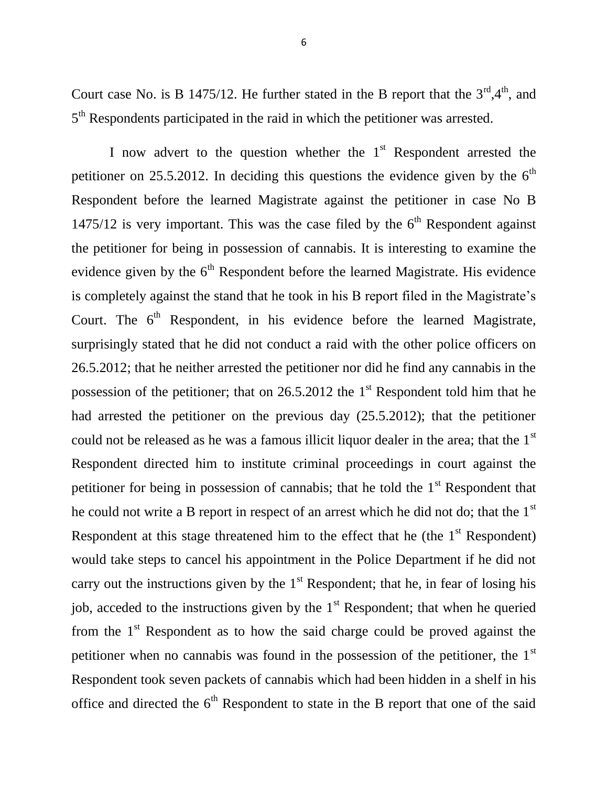Court case No. is B 1475/12. He further stated in the B report that the  $3<sup>rd</sup>,4<sup>th</sup>$ , and 5<sup>th</sup> Respondents participated in the raid in which the petitioner was arrested.

I now advert to the question whether the  $1<sup>st</sup>$  Respondent arrested the petitioner on 25.5.2012. In deciding this questions the evidence given by the  $6<sup>th</sup>$ Respondent before the learned Magistrate against the petitioner in case No B 1475/12 is very important. This was the case filed by the  $6<sup>th</sup>$  Respondent against the petitioner for being in possession of cannabis. It is interesting to examine the evidence given by the  $6<sup>th</sup>$  Respondent before the learned Magistrate. His evidence is completely against the stand that he took in his B report filed in the Magistrate's Court. The  $6<sup>th</sup>$  Respondent, in his evidence before the learned Magistrate, surprisingly stated that he did not conduct a raid with the other police officers on 26.5.2012; that he neither arrested the petitioner nor did he find any cannabis in the possession of the petitioner; that on  $26.5.2012$  the 1<sup>st</sup> Respondent told him that he had arrested the petitioner on the previous day (25.5.2012); that the petitioner could not be released as he was a famous illicit liquor dealer in the area; that the 1<sup>st</sup> Respondent directed him to institute criminal proceedings in court against the petitioner for being in possession of cannabis; that he told the  $1<sup>st</sup>$  Respondent that he could not write a B report in respect of an arrest which he did not do; that the  $1<sup>st</sup>$ Respondent at this stage threatened him to the effect that he (the  $1<sup>st</sup>$  Respondent) would take steps to cancel his appointment in the Police Department if he did not carry out the instructions given by the  $1<sup>st</sup>$  Respondent; that he, in fear of losing his job, acceded to the instructions given by the  $1<sup>st</sup>$  Respondent; that when he queried from the  $1<sup>st</sup>$  Respondent as to how the said charge could be proved against the petitioner when no cannabis was found in the possession of the petitioner, the 1<sup>st</sup> Respondent took seven packets of cannabis which had been hidden in a shelf in his office and directed the  $6<sup>th</sup>$  Respondent to state in the B report that one of the said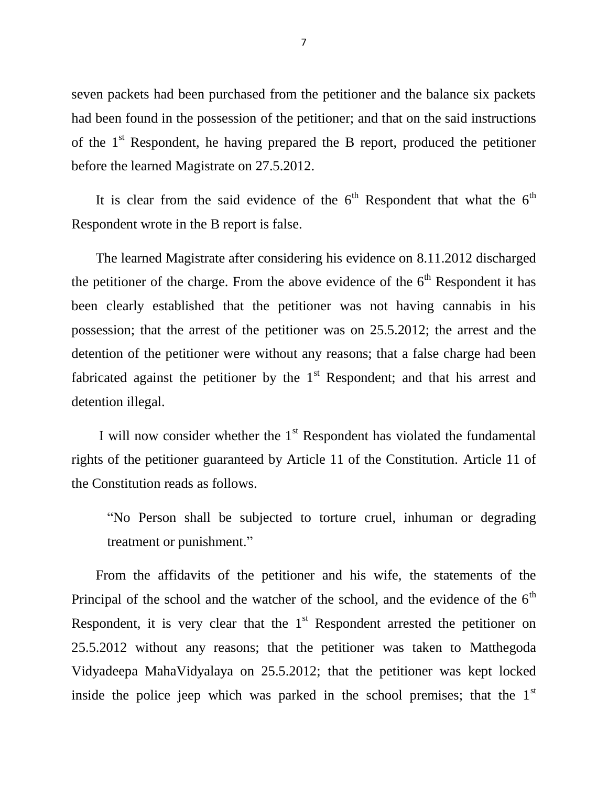seven packets had been purchased from the petitioner and the balance six packets had been found in the possession of the petitioner; and that on the said instructions of the  $1<sup>st</sup>$  Respondent, he having prepared the B report, produced the petitioner before the learned Magistrate on 27.5.2012.

It is clear from the said evidence of the  $6<sup>th</sup>$  Respondent that what the  $6<sup>th</sup>$ Respondent wrote in the B report is false.

 The learned Magistrate after considering his evidence on 8.11.2012 discharged the petitioner of the charge. From the above evidence of the  $6<sup>th</sup>$  Respondent it has been clearly established that the petitioner was not having cannabis in his possession; that the arrest of the petitioner was on 25.5.2012; the arrest and the detention of the petitioner were without any reasons; that a false charge had been fabricated against the petitioner by the  $1<sup>st</sup>$  Respondent; and that his arrest and detention illegal.

I will now consider whether the  $1<sup>st</sup>$  Respondent has violated the fundamental rights of the petitioner guaranteed by Article 11 of the Constitution. Article 11 of the Constitution reads as follows.

"No Person shall be subjected to torture cruel, inhuman or degrading treatment or punishment."

 From the affidavits of the petitioner and his wife, the statements of the Principal of the school and the watcher of the school, and the evidence of the  $6<sup>th</sup>$ Respondent, it is very clear that the  $1<sup>st</sup>$  Respondent arrested the petitioner on 25.5.2012 without any reasons; that the petitioner was taken to Matthegoda Vidyadeepa MahaVidyalaya on 25.5.2012; that the petitioner was kept locked inside the police jeep which was parked in the school premises; that the  $1<sup>st</sup>$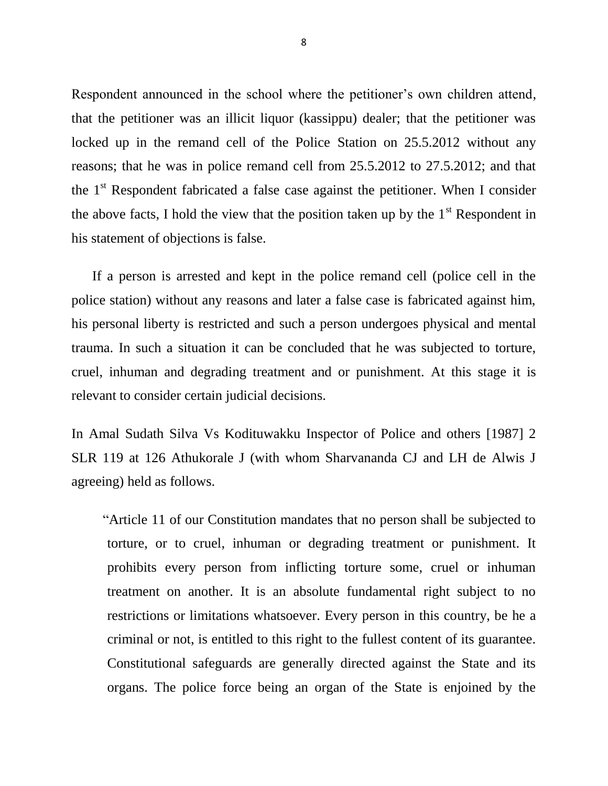Respondent announced in the school where the petitioner's own children attend, that the petitioner was an illicit liquor (kassippu) dealer; that the petitioner was locked up in the remand cell of the Police Station on 25.5.2012 without any reasons; that he was in police remand cell from 25.5.2012 to 27.5.2012; and that the  $1<sup>st</sup>$  Respondent fabricated a false case against the petitioner. When I consider the above facts, I hold the view that the position taken up by the  $1<sup>st</sup>$  Respondent in his statement of objections is false.

 If a person is arrested and kept in the police remand cell (police cell in the police station) without any reasons and later a false case is fabricated against him, his personal liberty is restricted and such a person undergoes physical and mental trauma. In such a situation it can be concluded that he was subjected to torture, cruel, inhuman and degrading treatment and or punishment. At this stage it is relevant to consider certain judicial decisions.

In Amal Sudath Silva Vs Kodituwakku Inspector of Police and others [1987] 2 SLR 119 at 126 Athukorale J (with whom Sharvananda CJ and LH de Alwis J agreeing) held as follows.

 "Article 11 of our Constitution mandates that no person shall be subjected to torture, or to cruel, inhuman or degrading treatment or punishment. It prohibits every person from inflicting torture some, cruel or inhuman treatment on another. It is an absolute fundamental right subject to no restrictions or limitations whatsoever. Every person in this country, be he a criminal or not, is entitled to this right to the fullest content of its guarantee. Constitutional safeguards are generally directed against the State and its organs. The police force being an organ of the State is enjoined by the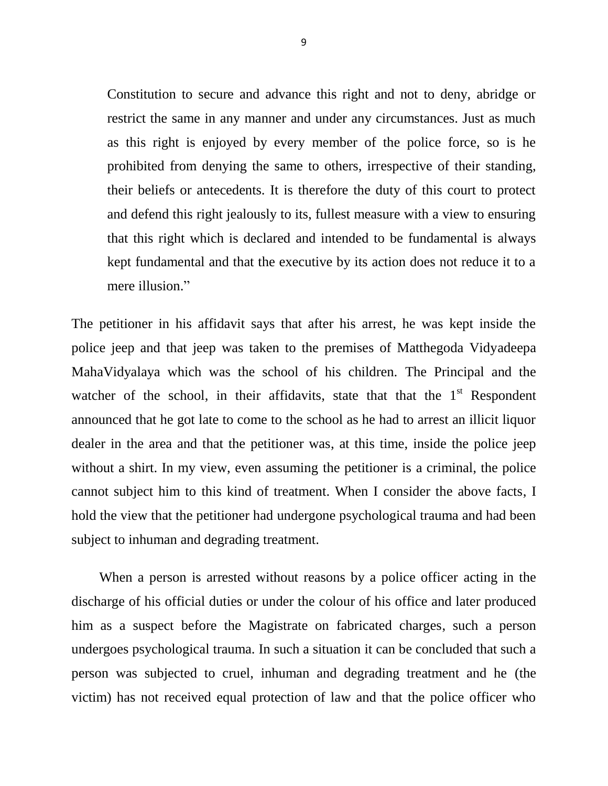Constitution to secure and advance this right and not to deny, abridge or restrict the same in any manner and under any circumstances. Just as much as this right is enjoyed by every member of the police force, so is he prohibited from denying the same to others, irrespective of their standing, their beliefs or antecedents. It is therefore the duty of this court to protect and defend this right jealously to its, fullest measure with a view to ensuring that this right which is declared and intended to be fundamental is always kept fundamental and that the executive by its action does not reduce it to a mere illusion."

The petitioner in his affidavit says that after his arrest, he was kept inside the police jeep and that jeep was taken to the premises of Matthegoda Vidyadeepa MahaVidyalaya which was the school of his children. The Principal and the watcher of the school, in their affidavits, state that that the  $1<sup>st</sup>$  Respondent announced that he got late to come to the school as he had to arrest an illicit liquor dealer in the area and that the petitioner was, at this time, inside the police jeep without a shirt. In my view, even assuming the petitioner is a criminal, the police cannot subject him to this kind of treatment. When I consider the above facts, I hold the view that the petitioner had undergone psychological trauma and had been subject to inhuman and degrading treatment.

 When a person is arrested without reasons by a police officer acting in the discharge of his official duties or under the colour of his office and later produced him as a suspect before the Magistrate on fabricated charges, such a person undergoes psychological trauma. In such a situation it can be concluded that such a person was subjected to cruel, inhuman and degrading treatment and he (the victim) has not received equal protection of law and that the police officer who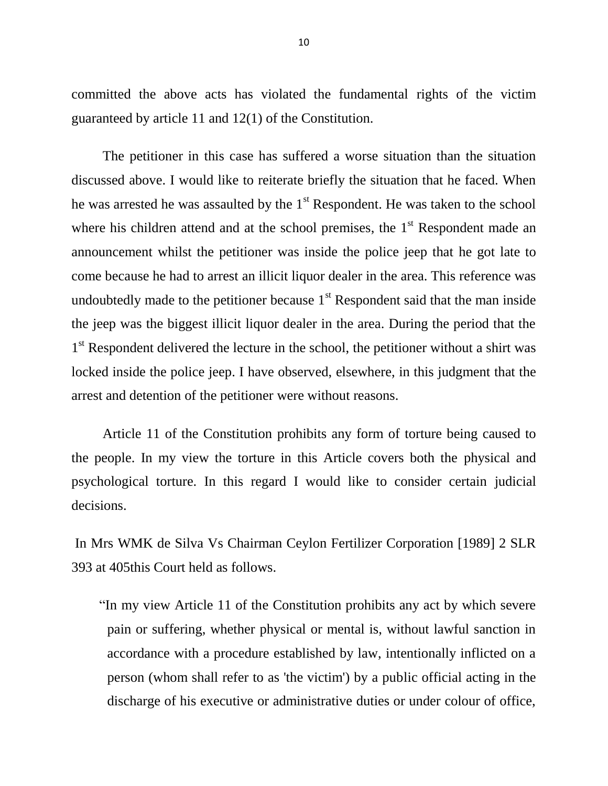committed the above acts has violated the fundamental rights of the victim guaranteed by article 11 and 12(1) of the Constitution.

 The petitioner in this case has suffered a worse situation than the situation discussed above. I would like to reiterate briefly the situation that he faced. When he was arrested he was assaulted by the  $1<sup>st</sup>$  Respondent. He was taken to the school where his children attend and at the school premises, the  $1<sup>st</sup>$  Respondent made an announcement whilst the petitioner was inside the police jeep that he got late to come because he had to arrest an illicit liquor dealer in the area. This reference was undoubtedly made to the petitioner because  $1<sup>st</sup>$  Respondent said that the man inside the jeep was the biggest illicit liquor dealer in the area. During the period that the 1<sup>st</sup> Respondent delivered the lecture in the school, the petitioner without a shirt was locked inside the police jeep. I have observed, elsewhere, in this judgment that the arrest and detention of the petitioner were without reasons.

 Article 11 of the Constitution prohibits any form of torture being caused to the people. In my view the torture in this Article covers both the physical and psychological torture. In this regard I would like to consider certain judicial decisions.

In Mrs WMK de Silva Vs Chairman Ceylon Fertilizer Corporation [1989] 2 SLR 393 at 405this Court held as follows.

 "In my view Article 11 of the Constitution prohibits any act by which severe pain or suffering, whether physical or mental is, without lawful sanction in accordance with a procedure established by law, intentionally inflicted on a person (whom shall refer to as 'the victim') by a public official acting in the discharge of his executive or administrative duties or under colour of office,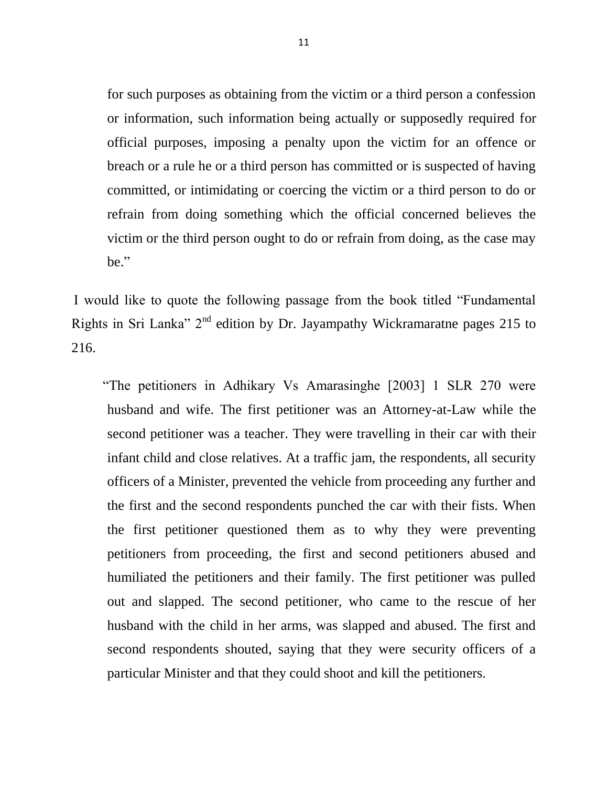for such purposes as obtaining from the victim or a third person a confession or information, such information being actually or supposedly required for official purposes, imposing a penalty upon the victim for an offence or breach or a rule he or a third person has committed or is suspected of having committed, or intimidating or coercing the victim or a third person to do or refrain from doing something which the official concerned believes the victim or the third person ought to do or refrain from doing, as the case may be."

 I would like to quote the following passage from the book titled "Fundamental Rights in Sri Lanka"  $2<sup>nd</sup>$  edition by Dr. Jayampathy Wickramaratne pages 215 to 216.

 "The petitioners in Adhikary Vs Amarasinghe [2003] 1 SLR 270 were husband and wife. The first petitioner was an Attorney-at-Law while the second petitioner was a teacher. They were travelling in their car with their infant child and close relatives. At a traffic jam, the respondents, all security officers of a Minister, prevented the vehicle from proceeding any further and the first and the second respondents punched the car with their fists. When the first petitioner questioned them as to why they were preventing petitioners from proceeding, the first and second petitioners abused and humiliated the petitioners and their family. The first petitioner was pulled out and slapped. The second petitioner, who came to the rescue of her husband with the child in her arms, was slapped and abused. The first and second respondents shouted, saying that they were security officers of a particular Minister and that they could shoot and kill the petitioners.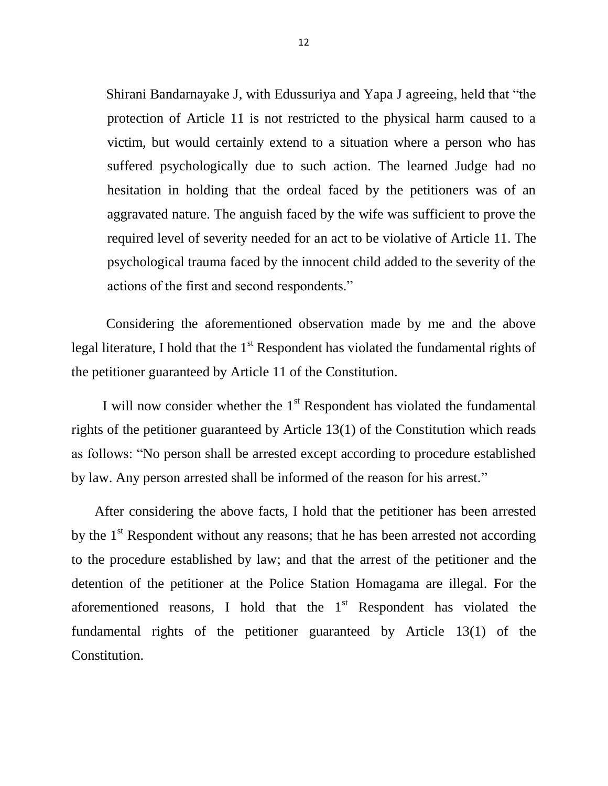Shirani Bandarnayake J, with Edussuriya and Yapa J agreeing, held that "the protection of Article 11 is not restricted to the physical harm caused to a victim, but would certainly extend to a situation where a person who has suffered psychologically due to such action. The learned Judge had no hesitation in holding that the ordeal faced by the petitioners was of an aggravated nature. The anguish faced by the wife was sufficient to prove the required level of severity needed for an act to be violative of Article 11. The psychological trauma faced by the innocent child added to the severity of the actions of the first and second respondents."

 Considering the aforementioned observation made by me and the above legal literature, I hold that the  $1<sup>st</sup>$  Respondent has violated the fundamental rights of the petitioner guaranteed by Article 11 of the Constitution.

I will now consider whether the  $1<sup>st</sup>$  Respondent has violated the fundamental rights of the petitioner guaranteed by Article 13(1) of the Constitution which reads as follows: "No person shall be arrested except according to procedure established by law. Any person arrested shall be informed of the reason for his arrest."

After considering the above facts, I hold that the petitioner has been arrested by the  $1<sup>st</sup>$  Respondent without any reasons; that he has been arrested not according to the procedure established by law; and that the arrest of the petitioner and the detention of the petitioner at the Police Station Homagama are illegal. For the aforementioned reasons, I hold that the  $1<sup>st</sup>$  Respondent has violated the fundamental rights of the petitioner guaranteed by Article 13(1) of the Constitution.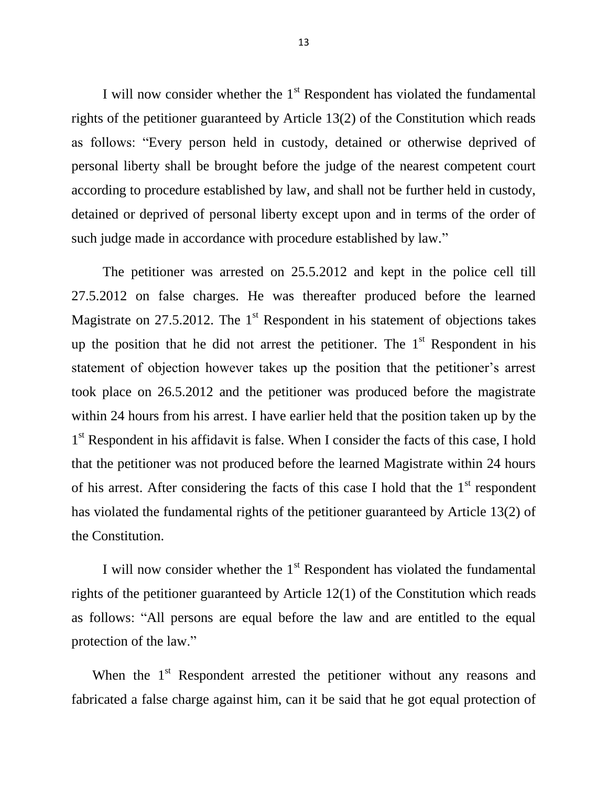I will now consider whether the  $1<sup>st</sup>$  Respondent has violated the fundamental rights of the petitioner guaranteed by Article 13(2) of the Constitution which reads as follows: "Every person held in custody, detained or otherwise deprived of personal liberty shall be brought before the judge of the nearest competent court according to procedure established by law, and shall not be further held in custody, detained or deprived of personal liberty except upon and in terms of the order of such judge made in accordance with procedure established by law."

 The petitioner was arrested on 25.5.2012 and kept in the police cell till 27.5.2012 on false charges. He was thereafter produced before the learned Magistrate on  $27.5.2012$ . The 1<sup>st</sup> Respondent in his statement of objections takes up the position that he did not arrest the petitioner. The  $1<sup>st</sup>$  Respondent in his statement of objection however takes up the position that the petitioner"s arrest took place on 26.5.2012 and the petitioner was produced before the magistrate within 24 hours from his arrest. I have earlier held that the position taken up by the 1<sup>st</sup> Respondent in his affidavit is false. When I consider the facts of this case, I hold that the petitioner was not produced before the learned Magistrate within 24 hours of his arrest. After considering the facts of this case I hold that the  $1<sup>st</sup>$  respondent has violated the fundamental rights of the petitioner guaranteed by Article 13(2) of the Constitution.

I will now consider whether the  $1<sup>st</sup>$  Respondent has violated the fundamental rights of the petitioner guaranteed by Article 12(1) of the Constitution which reads as follows: "All persons are equal before the law and are entitled to the equal protection of the law."

When the 1<sup>st</sup> Respondent arrested the petitioner without any reasons and fabricated a false charge against him, can it be said that he got equal protection of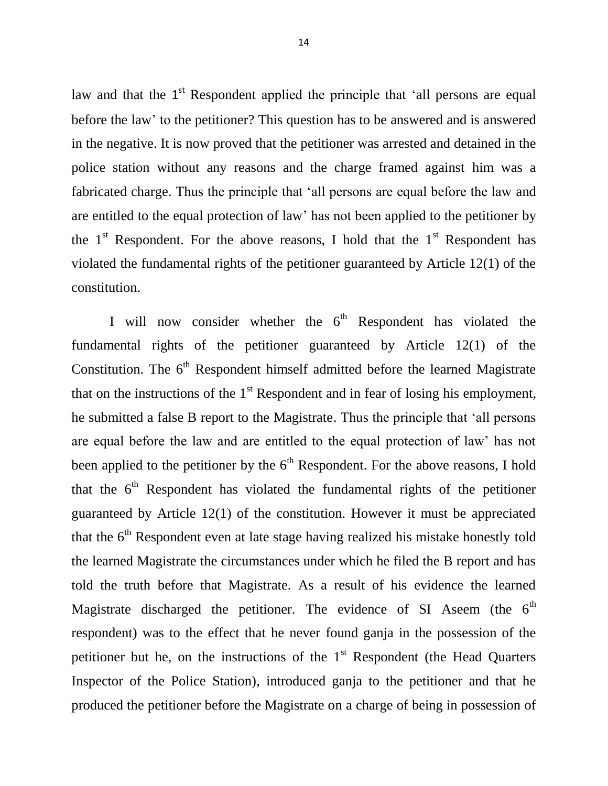law and that the 1<sup>st</sup> Respondent applied the principle that 'all persons are equal before the law" to the petitioner? This question has to be answered and is answered in the negative. It is now proved that the petitioner was arrested and detained in the police station without any reasons and the charge framed against him was a fabricated charge. Thus the principle that "all persons are equal before the law and are entitled to the equal protection of law" has not been applied to the petitioner by the  $1<sup>st</sup>$  Respondent. For the above reasons, I hold that the  $1<sup>st</sup>$  Respondent has violated the fundamental rights of the petitioner guaranteed by Article 12(1) of the constitution.

I will now consider whether the  $6<sup>th</sup>$  Respondent has violated the fundamental rights of the petitioner guaranteed by Article 12(1) of the Constitution. The  $6<sup>th</sup>$  Respondent himself admitted before the learned Magistrate that on the instructions of the  $1<sup>st</sup>$  Respondent and in fear of losing his employment, he submitted a false B report to the Magistrate. Thus the principle that "all persons are equal before the law and are entitled to the equal protection of law" has not been applied to the petitioner by the  $6<sup>th</sup>$  Respondent. For the above reasons, I hold that the  $6<sup>th</sup>$  Respondent has violated the fundamental rights of the petitioner guaranteed by Article 12(1) of the constitution. However it must be appreciated that the  $6<sup>th</sup>$  Respondent even at late stage having realized his mistake honestly told the learned Magistrate the circumstances under which he filed the B report and has told the truth before that Magistrate. As a result of his evidence the learned Magistrate discharged the petitioner. The evidence of SI Aseem (the  $6<sup>th</sup>$ respondent) was to the effect that he never found ganja in the possession of the petitioner but he, on the instructions of the  $1<sup>st</sup>$  Respondent (the Head Quarters Inspector of the Police Station), introduced ganja to the petitioner and that he produced the petitioner before the Magistrate on a charge of being in possession of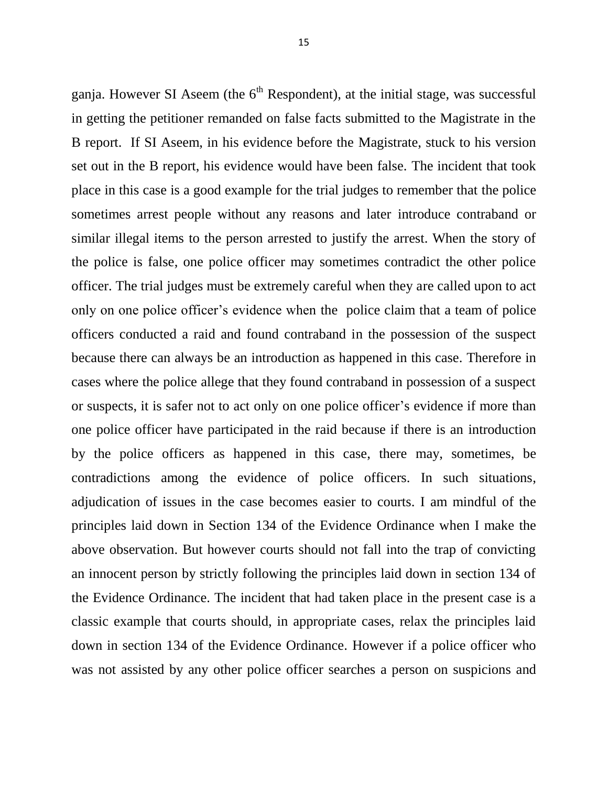ganja. However SI Aseem (the  $6<sup>th</sup>$  Respondent), at the initial stage, was successful in getting the petitioner remanded on false facts submitted to the Magistrate in the B report. If SI Aseem, in his evidence before the Magistrate, stuck to his version set out in the B report, his evidence would have been false. The incident that took place in this case is a good example for the trial judges to remember that the police sometimes arrest people without any reasons and later introduce contraband or similar illegal items to the person arrested to justify the arrest. When the story of the police is false, one police officer may sometimes contradict the other police officer. The trial judges must be extremely careful when they are called upon to act only on one police officer"s evidence when the police claim that a team of police officers conducted a raid and found contraband in the possession of the suspect because there can always be an introduction as happened in this case. Therefore in cases where the police allege that they found contraband in possession of a suspect or suspects, it is safer not to act only on one police officer"s evidence if more than one police officer have participated in the raid because if there is an introduction by the police officers as happened in this case, there may, sometimes, be contradictions among the evidence of police officers. In such situations, adjudication of issues in the case becomes easier to courts. I am mindful of the principles laid down in Section 134 of the Evidence Ordinance when I make the above observation. But however courts should not fall into the trap of convicting an innocent person by strictly following the principles laid down in section 134 of the Evidence Ordinance. The incident that had taken place in the present case is a classic example that courts should, in appropriate cases, relax the principles laid down in section 134 of the Evidence Ordinance. However if a police officer who was not assisted by any other police officer searches a person on suspicions and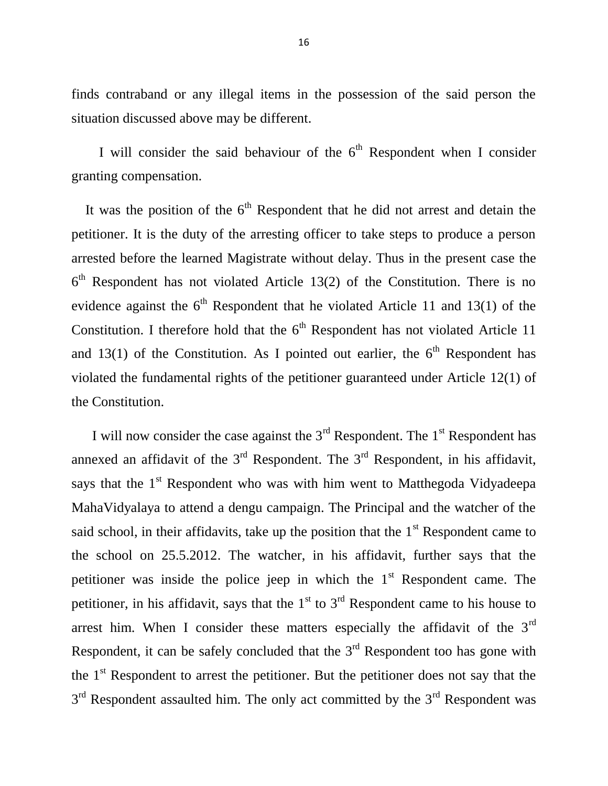finds contraband or any illegal items in the possession of the said person the situation discussed above may be different.

I will consider the said behaviour of the  $6<sup>th</sup>$  Respondent when I consider granting compensation.

It was the position of the  $6<sup>th</sup>$  Respondent that he did not arrest and detain the petitioner. It is the duty of the arresting officer to take steps to produce a person arrested before the learned Magistrate without delay. Thus in the present case the  $6<sup>th</sup>$  Respondent has not violated Article 13(2) of the Constitution. There is no evidence against the  $6<sup>th</sup>$  Respondent that he violated Article 11 and 13(1) of the Constitution. I therefore hold that the  $6<sup>th</sup>$  Respondent has not violated Article 11 and 13(1) of the Constitution. As I pointed out earlier, the  $6<sup>th</sup>$  Respondent has violated the fundamental rights of the petitioner guaranteed under Article 12(1) of the Constitution.

I will now consider the case against the  $3<sup>rd</sup>$  Respondent. The  $1<sup>st</sup>$  Respondent has annexed an affidavit of the  $3<sup>rd</sup>$  Respondent. The  $3<sup>rd</sup>$  Respondent, in his affidavit, says that the  $1<sup>st</sup>$  Respondent who was with him went to Matthegoda Vidyadeepa MahaVidyalaya to attend a dengu campaign. The Principal and the watcher of the said school, in their affidavits, take up the position that the  $1<sup>st</sup>$  Respondent came to the school on 25.5.2012. The watcher, in his affidavit, further says that the petitioner was inside the police jeep in which the  $1<sup>st</sup>$  Respondent came. The petitioner, in his affidavit, says that the  $1<sup>st</sup>$  to  $3<sup>rd</sup>$  Respondent came to his house to arrest him. When I consider these matters especially the affidavit of the 3<sup>rd</sup> Respondent, it can be safely concluded that the  $3<sup>rd</sup>$  Respondent too has gone with the  $1<sup>st</sup>$  Respondent to arrest the petitioner. But the petitioner does not say that the  $3<sup>rd</sup>$  Respondent assaulted him. The only act committed by the  $3<sup>rd</sup>$  Respondent was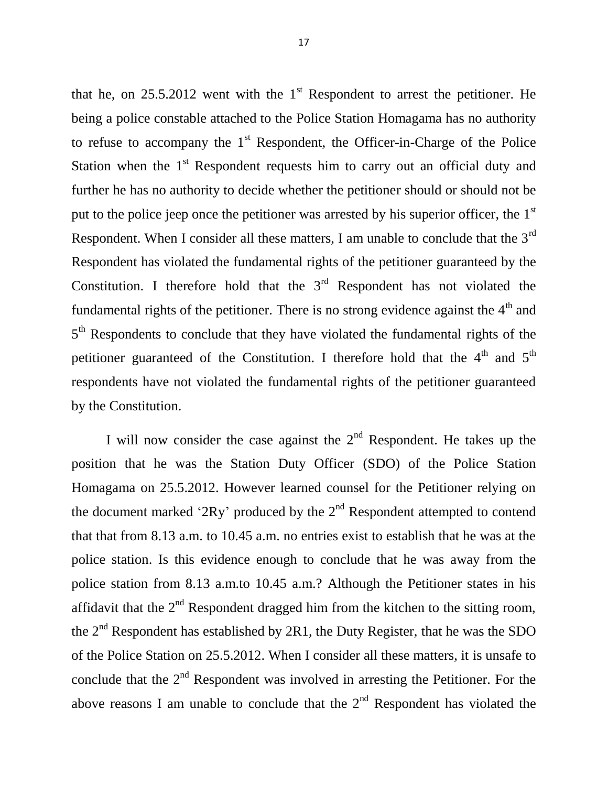that he, on  $25.5.2012$  went with the  $1<sup>st</sup>$  Respondent to arrest the petitioner. He being a police constable attached to the Police Station Homagama has no authority to refuse to accompany the  $1<sup>st</sup>$  Respondent, the Officer-in-Charge of the Police Station when the  $1<sup>st</sup>$  Respondent requests him to carry out an official duty and further he has no authority to decide whether the petitioner should or should not be put to the police jeep once the petitioner was arrested by his superior officer, the  $1<sup>st</sup>$ Respondent. When I consider all these matters, I am unable to conclude that the 3<sup>rd</sup> Respondent has violated the fundamental rights of the petitioner guaranteed by the Constitution. I therefore hold that the  $3<sup>rd</sup>$  Respondent has not violated the fundamental rights of the petitioner. There is no strong evidence against the  $4<sup>th</sup>$  and 5<sup>th</sup> Respondents to conclude that they have violated the fundamental rights of the petitioner guaranteed of the Constitution. I therefore hold that the  $4<sup>th</sup>$  and  $5<sup>th</sup>$ respondents have not violated the fundamental rights of the petitioner guaranteed by the Constitution.

I will now consider the case against the  $2<sup>nd</sup>$  Respondent. He takes up the position that he was the Station Duty Officer (SDO) of the Police Station Homagama on 25.5.2012. However learned counsel for the Petitioner relying on the document marked '2Ry' produced by the  $2<sup>nd</sup>$  Respondent attempted to contend that that from 8.13 a.m. to 10.45 a.m. no entries exist to establish that he was at the police station. Is this evidence enough to conclude that he was away from the police station from 8.13 a.m.to 10.45 a.m.? Although the Petitioner states in his affidavit that the  $2<sup>nd</sup>$  Respondent dragged him from the kitchen to the sitting room, the  $2<sup>nd</sup>$  Respondent has established by 2R1, the Duty Register, that he was the SDO of the Police Station on 25.5.2012. When I consider all these matters, it is unsafe to conclude that the  $2<sup>nd</sup>$  Respondent was involved in arresting the Petitioner. For the above reasons I am unable to conclude that the  $2<sup>nd</sup>$  Respondent has violated the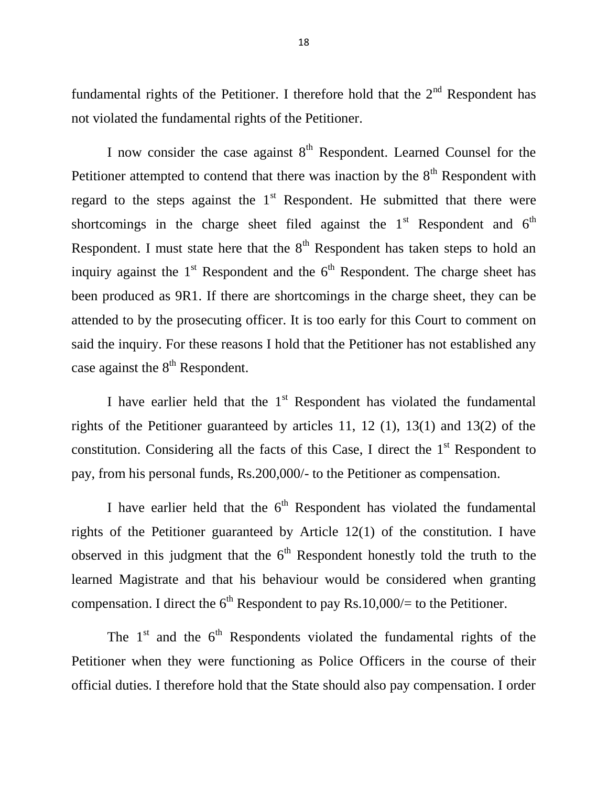fundamental rights of the Petitioner. I therefore hold that the  $2<sup>nd</sup>$  Respondent has not violated the fundamental rights of the Petitioner.

I now consider the case against  $8<sup>th</sup>$  Respondent. Learned Counsel for the Petitioner attempted to contend that there was inaction by the  $8<sup>th</sup>$  Respondent with regard to the steps against the  $1<sup>st</sup>$  Respondent. He submitted that there were shortcomings in the charge sheet filed against the  $1<sup>st</sup>$  Respondent and  $6<sup>th</sup>$ Respondent. I must state here that the  $8<sup>th</sup>$  Respondent has taken steps to hold an inquiry against the  $1<sup>st</sup>$  Respondent and the  $6<sup>th</sup>$  Respondent. The charge sheet has been produced as 9R1. If there are shortcomings in the charge sheet, they can be attended to by the prosecuting officer. It is too early for this Court to comment on said the inquiry. For these reasons I hold that the Petitioner has not established any case against the  $8<sup>th</sup>$  Respondent.

I have earlier held that the  $1<sup>st</sup>$  Respondent has violated the fundamental rights of the Petitioner guaranteed by articles 11, 12 (1), 13(1) and 13(2) of the constitution. Considering all the facts of this Case, I direct the  $1<sup>st</sup>$  Respondent to pay, from his personal funds, Rs.200,000/- to the Petitioner as compensation.

I have earlier held that the  $6<sup>th</sup>$  Respondent has violated the fundamental rights of the Petitioner guaranteed by Article 12(1) of the constitution. I have observed in this judgment that the  $6<sup>th</sup>$  Respondent honestly told the truth to the learned Magistrate and that his behaviour would be considered when granting compensation. I direct the  $6<sup>th</sup>$  Respondent to pay Rs.10,000/= to the Petitioner.

The  $1<sup>st</sup>$  and the  $6<sup>th</sup>$  Respondents violated the fundamental rights of the Petitioner when they were functioning as Police Officers in the course of their official duties. I therefore hold that the State should also pay compensation. I order